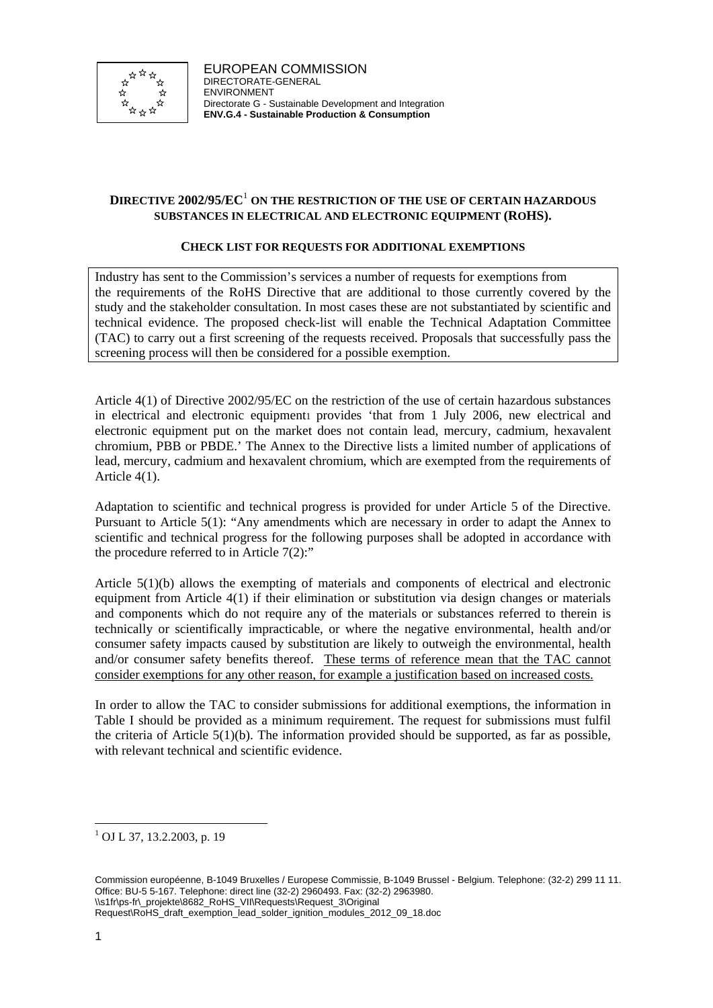

### **DIRECTIVE 2002/95/EC**<sup>1</sup> **ON THE RESTRICTION OF THE USE OF CERTAIN HAZARDOUS SUBSTANCES IN ELECTRICAL AND ELECTRONIC EQUIPMENT (ROHS).**

#### **CHECK LIST FOR REQUESTS FOR ADDITIONAL EXEMPTIONS**

Industry has sent to the Commission's services a number of requests for exemptions from the requirements of the RoHS Directive that are additional to those currently covered by the study and the stakeholder consultation. In most cases these are not substantiated by scientific and technical evidence. The proposed check-list will enable the Technical Adaptation Committee (TAC) to carry out a first screening of the requests received. Proposals that successfully pass the screening process will then be considered for a possible exemption.

Article 4(1) of Directive 2002/95/EC on the restriction of the use of certain hazardous substances in electrical and electronic equipment provides 'that from 1 July 2006, new electrical and electronic equipment put on the market does not contain lead, mercury, cadmium, hexavalent chromium, PBB or PBDE.' The Annex to the Directive lists a limited number of applications of lead, mercury, cadmium and hexavalent chromium, which are exempted from the requirements of Article 4(1).

Adaptation to scientific and technical progress is provided for under Article 5 of the Directive. Pursuant to Article 5(1): "Any amendments which are necessary in order to adapt the Annex to scientific and technical progress for the following purposes shall be adopted in accordance with the procedure referred to in Article 7(2):"

Article 5(1)(b) allows the exempting of materials and components of electrical and electronic equipment from Article 4(1) if their elimination or substitution via design changes or materials and components which do not require any of the materials or substances referred to therein is technically or scientifically impracticable, or where the negative environmental, health and/or consumer safety impacts caused by substitution are likely to outweigh the environmental, health and/or consumer safety benefits thereof. These terms of reference mean that the TAC cannot consider exemptions for any other reason, for example a justification based on increased costs.

In order to allow the TAC to consider submissions for additional exemptions, the information in Table I should be provided as a minimum requirement. The request for submissions must fulfil the criteria of Article  $5(1)(b)$ . The information provided should be supported, as far as possible, with relevant technical and scientific evidence.

 $\overline{\phantom{a}}$ 

<sup>1</sup> OJ L 37, 13.2.2003, p. 19

Commission européenne, B-1049 Bruxelles / Europese Commissie, B-1049 Brussel - Belgium. Telephone: (32-2) 299 11 11. Office: BU-5 5-167. Telephone: direct line (32-2) 2960493. Fax: (32-2) 2963980. \\s1fr\ps-fr\\_projekte\8682\_RoHS\_VII\Requests\Request\_3\Original

Request\RoHS\_draft\_exemption\_lead\_solder\_ignition\_modules\_2012\_09\_18.doc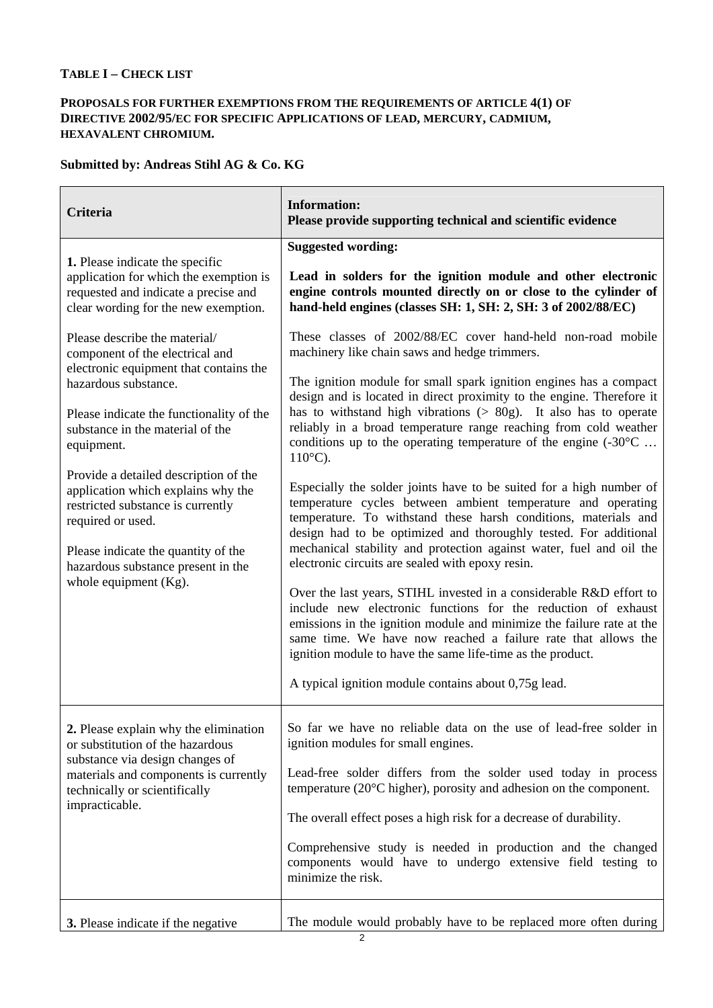# **TABLE I – CHECK LIST**

### **PROPOSALS FOR FURTHER EXEMPTIONS FROM THE REQUIREMENTS OF ARTICLE 4(1) OF DIRECTIVE 2002/95/EC FOR SPECIFIC APPLICATIONS OF LEAD, MERCURY, CADMIUM, HEXAVALENT CHROMIUM.**

# **Submitted by: Andreas Stihl AG & Co. KG**

| Criteria                                                                                                                                                                                                                                                                                                                                                                                                                                                                        | <b>Information:</b><br>Please provide supporting technical and scientific evidence                                                                                                                                                                                                                                                                                                                                                                                                                                                                                                                                                                                                                                                                                                                                                                                                                                                                                                                                                                                                                                                                                                                                                                                                                                        |
|---------------------------------------------------------------------------------------------------------------------------------------------------------------------------------------------------------------------------------------------------------------------------------------------------------------------------------------------------------------------------------------------------------------------------------------------------------------------------------|---------------------------------------------------------------------------------------------------------------------------------------------------------------------------------------------------------------------------------------------------------------------------------------------------------------------------------------------------------------------------------------------------------------------------------------------------------------------------------------------------------------------------------------------------------------------------------------------------------------------------------------------------------------------------------------------------------------------------------------------------------------------------------------------------------------------------------------------------------------------------------------------------------------------------------------------------------------------------------------------------------------------------------------------------------------------------------------------------------------------------------------------------------------------------------------------------------------------------------------------------------------------------------------------------------------------------|
| 1. Please indicate the specific<br>application for which the exemption is<br>requested and indicate a precise and<br>clear wording for the new exemption.                                                                                                                                                                                                                                                                                                                       | <b>Suggested wording:</b><br>Lead in solders for the ignition module and other electronic<br>engine controls mounted directly on or close to the cylinder of<br>hand-held engines (classes SH: 1, SH: 2, SH: 3 of 2002/88/EC)                                                                                                                                                                                                                                                                                                                                                                                                                                                                                                                                                                                                                                                                                                                                                                                                                                                                                                                                                                                                                                                                                             |
| Please describe the material/<br>component of the electrical and<br>electronic equipment that contains the<br>hazardous substance.<br>Please indicate the functionality of the<br>substance in the material of the<br>equipment.<br>Provide a detailed description of the<br>application which explains why the<br>restricted substance is currently<br>required or used.<br>Please indicate the quantity of the<br>hazardous substance present in the<br>whole equipment (Kg). | These classes of 2002/88/EC cover hand-held non-road mobile<br>machinery like chain saws and hedge trimmers.<br>The ignition module for small spark ignition engines has a compact<br>design and is located in direct proximity to the engine. Therefore it<br>has to withstand high vibrations $(> 80g)$ . It also has to operate<br>reliably in a broad temperature range reaching from cold weather<br>conditions up to the operating temperature of the engine $(-30^{\circ}$ C<br>$110^{\circ}$ C).<br>Especially the solder joints have to be suited for a high number of<br>temperature cycles between ambient temperature and operating<br>temperature. To withstand these harsh conditions, materials and<br>design had to be optimized and thoroughly tested. For additional<br>mechanical stability and protection against water, fuel and oil the<br>electronic circuits are sealed with epoxy resin.<br>Over the last years, STIHL invested in a considerable R&D effort to<br>include new electronic functions for the reduction of exhaust<br>emissions in the ignition module and minimize the failure rate at the<br>same time. We have now reached a failure rate that allows the<br>ignition module to have the same life-time as the product.<br>A typical ignition module contains about 0,75g lead. |
| 2. Please explain why the elimination<br>or substitution of the hazardous<br>substance via design changes of<br>materials and components is currently<br>technically or scientifically<br>impracticable.                                                                                                                                                                                                                                                                        | So far we have no reliable data on the use of lead-free solder in<br>ignition modules for small engines.<br>Lead-free solder differs from the solder used today in process<br>temperature $(20^{\circ}$ C higher), porosity and adhesion on the component.<br>The overall effect poses a high risk for a decrease of durability.<br>Comprehensive study is needed in production and the changed<br>components would have to undergo extensive field testing to<br>minimize the risk.                                                                                                                                                                                                                                                                                                                                                                                                                                                                                                                                                                                                                                                                                                                                                                                                                                      |
| 3. Please indicate if the negative                                                                                                                                                                                                                                                                                                                                                                                                                                              | The module would probably have to be replaced more often during                                                                                                                                                                                                                                                                                                                                                                                                                                                                                                                                                                                                                                                                                                                                                                                                                                                                                                                                                                                                                                                                                                                                                                                                                                                           |